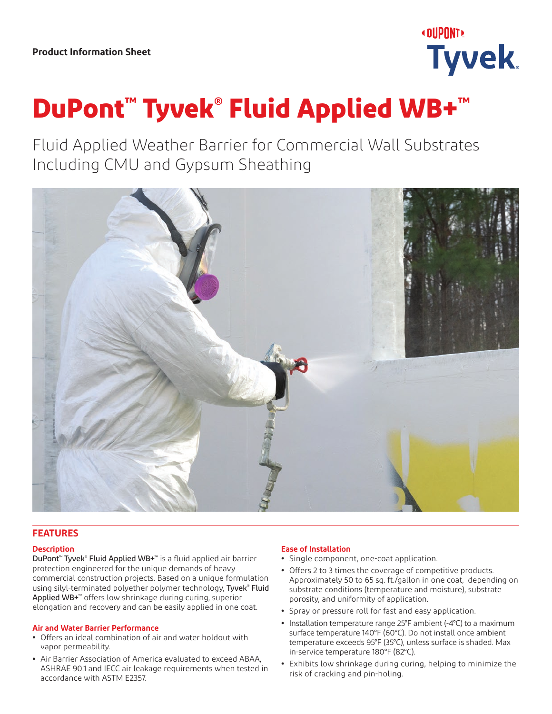

# **DuPont™ Tyvek® Fluid Applied WB+™**

Fluid Applied Weather Barrier for Commercial Wall Substrates Including CMU and Gypsum Sheathing



# **FEATURES**

# **Description**

DuPont<sup>™</sup> Tyvek® Fluid Applied WB+<sup>™</sup> is a fluid applied air barrier protection engineered for the unique demands of heavy commercial construction projects. Based on a unique formulation using silyl-terminated polyether polymer technology, Tyvek® Fluid Applied WB+™ offers low shrinkage during curing, superior elongation and recovery and can be easily applied in one coat.

## **Air and Water Barrier Performance**

- **•** Offers an ideal combination of air and water holdout with vapor permeability.
- **•** Air Barrier Association of America evaluated to exceed ABAA, ASHRAE 90.1 and IECC air leakage requirements when tested in accordance with ASTM E2357.

# **Ease of Installation**

- **•** Single component, one-coat application.
- **•** Offers 2 to 3 times the coverage of competitive products. Approximately 50 to 65 sq. ft./gallon in one coat, depending on substrate conditions (temperature and moisture), substrate porosity, and uniformity of application.
- **•** Spray or pressure roll for fast and easy application.
- **•** Installation temperature range 25°F ambient (-4°C) to a maximum surface temperature 140°F (60°C). Do not install once ambient temperature exceeds 95°F (35°C), unless surface is shaded. Max in-service temperature 180°F (82°C).
- **•** Exhibits low shrinkage during curing, helping to minimize the risk of cracking and pin-holing.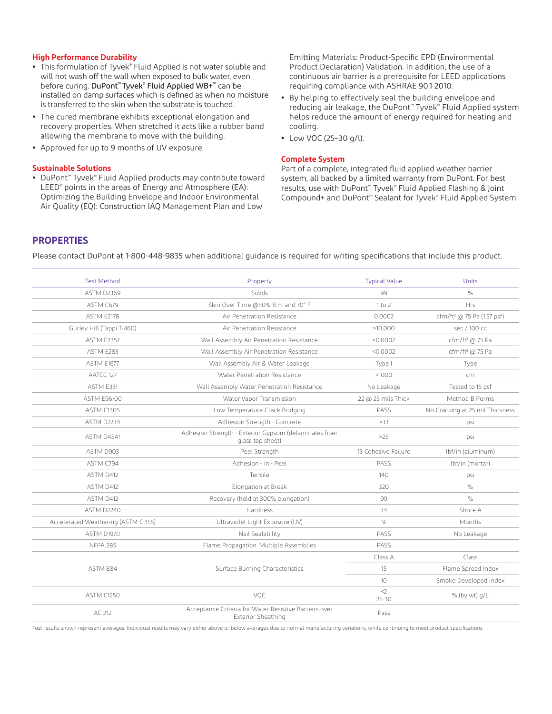#### **High Performance Durability**

- **•** This formulation of Tyvek® Fluid Applied is not water soluble and will not wash off the wall when exposed to bulk water, even before curing. DuPont<sup>™</sup> Tyvek® Fluid Applied WB+™ can be installed on damp surfaces which is defined as when no moisture is transferred to the skin when the substrate is touched.
- **•** The cured membrane exhibits exceptional elongation and recovery properties. When stretched it acts like a rubber band allowing the membrane to move with the building.
- **•** Approved for up to 9 months of UV exposure.

#### **Sustainable Solutions**

**•** DuPont™ Tyvek® Fluid Applied products may contribute toward LEED® points in the areas of Energy and Atmosphere (EA): Optimizing the Building Envelope and Indoor Environmental Air Quality (EQ): Construction IAQ Management Plan and Low

Emitting Materials: Product-Specific EPD (Environmental Product Declaration) Validation. In addition, the use of a continuous air barrier is a prerequisite for LEED applications requiring compliance with ASHRAE 90.1-2010.

- **•** By helping to effectively seal the building envelope and reducing air leakage, the DuPont<sup>™</sup> Tyvek® Fluid Applied system helps reduce the amount of energy required for heating and cooling.
- **•** Low VOC (25–30 g/l).

## **Complete System**

Part of a complete, integrated fluid applied weather barrier system, all backed by a limited warranty from DuPont. For best results, use with DuPont™ Tyvek® Fluid Applied Flashing & Joint Compound+ and DuPont™ Sealant for Tyvek® Fluid Applied System.

## **PROPERTIES**

Please contact DuPont at 1-800-448-9835 when additional guidance is required for writing specifications that include this product.

| <b>Test Method</b>                  | Property                                                                    | <b>Typical Value</b> | Units                                  |
|-------------------------------------|-----------------------------------------------------------------------------|----------------------|----------------------------------------|
| ASTM D2369                          | Solids                                                                      | 99                   | $\%$                                   |
| ASTM C679                           | Skin Over Time @50% R.H. and 70° F                                          | 1 to 2               | <b>Hrs</b>                             |
| ASTM E2178                          | Air Penetration Resistance                                                  | 0.0002               | cfm/ft <sup>2</sup> @ 75 Pa (1.57 psf) |
| Gurley Hill (Tappi T-460)           | Air Penetration Resistance                                                  | >10,000              | sec / 100 cc                           |
| <b>ASTM E2357</b>                   | Wall Assembly Air Penetration Resistance                                    | < 0.0002             | cfm/ft <sup>2</sup> @ 75 Pa            |
| ASTM E283                           | Wall Assembly Air Penetration Resistance                                    | < 0.0002             | cfm/ft <sup>2</sup> @ 75 Pa            |
| <b>ASTM E1677</b>                   | Wall Assembly Air & Water Leakage                                           | Type I               | Type                                   |
| AATCC 127                           | Water Penetration Resistance                                                | >1000                | cm                                     |
| ASTM E331                           | Wall Assembly Water Penetration Resistance                                  | No Leakage           | Tested to 15 psf                       |
| <b>ASTM E96-00</b>                  | Water Vapor Transmission                                                    | 22 @ 25 mils Thick   | Method B Perms                         |
| <b>ASTM C1305</b>                   | Low Temperature Crack Bridging                                              | PASS                 | No Cracking at 25 mil Thickness        |
| ASTM D7234                          | Adhesion Strength - Concrete                                                | >33                  | psi                                    |
| ASTM D4541                          | Adhesion Strength - Exterior Gypsum (delaminates fiber<br>glass top sheet)  | >25                  | psi                                    |
| ASTM D903                           | Peel Strength                                                               | 13 Cohesive Failure  | lbf/in (aluminum)                      |
| ASTM C794                           | Adhesion - in - Peel                                                        | PASS                 | lbf/in (mortar)                        |
| ASTM D412                           | Tensile                                                                     | 140                  | psi                                    |
| ASTM D412                           | Elongation at Break                                                         | 320                  | $\%$                                   |
| ASTM D412                           | Recovery (held at 300% elongation)                                          | 99                   | $\%$                                   |
| ASTM D2240                          | Hardness                                                                    | 34                   | Shore A                                |
| Accelerated Weathering (ASTM G-155) | Ultraviolet Light Exposure (UV)                                             | 9                    | Months                                 |
| ASTM D1970                          | Nail Sealability                                                            | PASS                 | No Leakage                             |
| <b>NFPA 285</b>                     | Flame Propagation. Multiple Assemblies                                      | PASS                 |                                        |
| ASTM E84                            | Surface Burning Characteristics                                             | Class A              | Class                                  |
|                                     |                                                                             | 15                   | Flame Spread Index                     |
|                                     |                                                                             | 10 <sup>°</sup>      | Smoke Developed Index                  |
| <b>ASTM C1250</b>                   | VOC                                                                         | $<$ 2<br>$25 - 30$   | % (by wt) g/L                          |
| AC 212                              | Acceptance Criteria for Water Resistive Barriers over<br>Exterior Sheathing | Pass                 |                                        |

Test results shown represent averages. Individual results may vary either above or below averages due to normal manufacturing variations, while continuing to meet product specifications.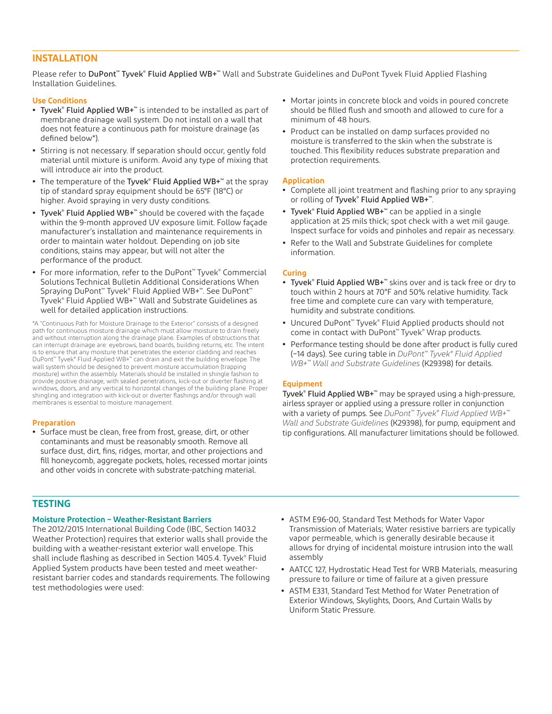# **INSTALLATION**

Please refer to DuPont™ Tyvek® Fluid Applied WB+™ Wall and Substrate Guidelines and DuPont Tyvek Fluid Applied Flashing Installation Guidelines.

## **Use Conditions**

- **•** Tyvek® Fluid Applied WB+™ is intended to be installed as part of membrane drainage wall system. Do not install on a wall that does not feature a continuous path for moisture drainage (as defined below\*).
- **•** Stirring is not necessary. If separation should occur, gently fold material until mixture is uniform. Avoid any type of mixing that will introduce air into the product.
- **•** The temperature of the Tyvek® Fluid Applied WB+™ at the spray tip of standard spray equipment should be 65°F (18°C) or higher. Avoid spraying in very dusty conditions.
- **•** Tyvek® Fluid Applied WB+™ should be covered with the façade within the 9-month approved UV exposure limit. Follow façade manufacturer's installation and maintenance requirements in order to maintain water holdout. Depending on job site conditions, stains may appear, but will not alter the performance of the product.
- **•** For more information, refer to the DuPont™ Tyvek® Commercial Solutions Technical Bulletin Additional Considerations When Spraying DuPont™ Tyvek® Fluid Applied WB+™. See DuPont™ Tyvek® Fluid Applied WB+™ Wall and Substrate Guidelines as well for detailed application instructions.

\*A "Continuous Path for Moisture Drainage to the Exterior" consists of a designed path for continuous moisture drainage which must allow moisture to drain freely and without interruption along the drainage plane. Examples of obstructions that can interrupt drainage are: eyebrows, band boards, building returns, etc. The intent is to ensure that any moisture that penetrates the exterior cladding and reaches DuPont™ Tyvek® Fluid Applied WB+™ can drain and exit the building envelope. The wall system should be designed to prevent moisture accumulation (trapping moisture) within the assembly. Materials should be installed in shingle fashion to provide positive drainage; with sealed penetrations, kick-out or diverter flashing at windows, doors, and any vertical to horizontal changes of the building plane. Proper shingling and integration with kick-out or diverter flashings and/or through wall membranes is essential to moisture management.

#### **Preparation**

**•** Surface must be clean, free from frost, grease, dirt, or other contaminants and must be reasonably smooth. Remove all surface dust, dirt, fins, ridges, mortar, and other projections and fill honeycomb, aggregate pockets, holes, recessed mortar joints and other voids in concrete with substrate-patching material.

- **•** Mortar joints in concrete block and voids in poured concrete should be filled flush and smooth and allowed to cure for a minimum of 48 hours.
- **•** Product can be installed on damp surfaces provided no moisture is transferred to the skin when the substrate is touched. This flexibility reduces substrate preparation and protection requirements.

## **Application**

- **•** Complete all joint treatment and flashing prior to any spraying or rolling of Tyvek® Fluid Applied WB+™.
- **•** Tyvek® Fluid Applied WB+™ can be applied in a single application at 25 mils thick; spot check with a wet mil gauge. Inspect surface for voids and pinholes and repair as necessary.
- **•** Refer to the Wall and Substrate Guidelines for complete information.

## **Curing**

- **•** Tyvek® Fluid Applied WB+™ skins over and is tack free or dry to touch within 2 hours at 70°F and 50% relative humidity. Tack free time and complete cure can vary with temperature, humidity and substrate conditions.
- **•** Uncured DuPont™ Tyvek® Fluid Applied products should not come in contact with DuPont™ Tyvek® Wrap products.
- **•** Performance testing should be done after product is fully cured (~14 days). See curing table in *DuPont™ Tyvek® Fluid Applied WB+™ Wall and Substrate Guidelines* (K29398) for details.

## **Equipment**

Tyvek® Fluid Applied WB+™ may be sprayed using a high-pressure, airless sprayer or applied using a pressure roller in conjunction with a variety of pumps. See *DuPont™ Tyvek® Fluid Applied WB+™ Wall and Substrate Guidelines* (K29398), for pump, equipment and tip configurations. All manufacturer limitations should be followed.

# **TESTING**

#### **Moisture Protection – Weather-Resistant Barriers**

The 2012/2015 International Building Code (IBC, Section 1403.2 Weather Protection) requires that exterior walls shall provide the building with a weather-resistant exterior wall envelope. This shall include flashing as described in Section 1405.4. Tyvek® Fluid Applied System products have been tested and meet weatherresistant barrier codes and standards requirements. The following test methodologies were used:

- **•** ASTM E96-00, Standard Test Methods for Water Vapor Transmission of Materials; Water resistive barriers are typically vapor permeable, which is generally desirable because it allows for drying of incidental moisture intrusion into the wall assembly
- **•** AATCC 127, Hydrostatic Head Test for WRB Materials, measuring pressure to failure or time of failure at a given pressure
- **•** ASTM E331, Standard Test Method for Water Penetration of Exterior Windows, Skylights, Doors, And Curtain Walls by Uniform Static Pressure.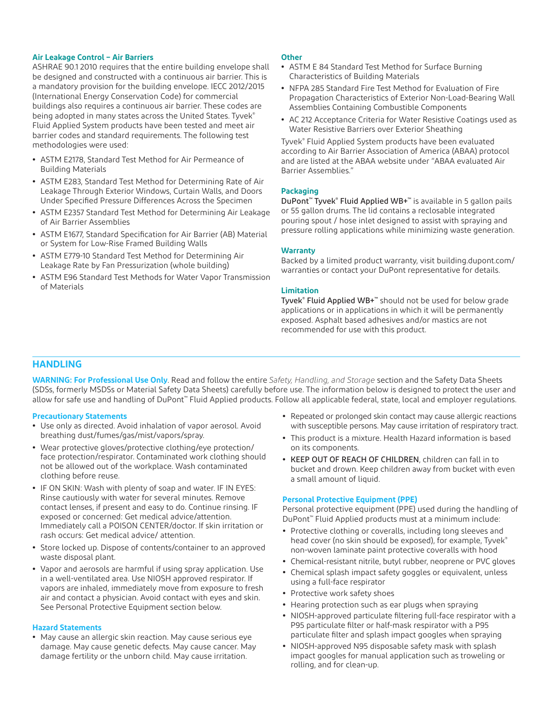## **Air Leakage Control – Air Barriers**

ASHRAE 90.1 2010 requires that the entire building envelope shall be designed and constructed with a continuous air barrier. This is a mandatory provision for the building envelope. IECC 2012/2015 (International Energy Conservation Code) for commercial buildings also requires a continuous air barrier. These codes are being adopted in many states across the United States. Tyvek® Fluid Applied System products have been tested and meet air barrier codes and standard requirements. The following test methodologies were used:

- **•** ASTM E2178, Standard Test Method for Air Permeance of Building Materials
- **•** ASTM E283, Standard Test Method for Determining Rate of Air Leakage Through Exterior Windows, Curtain Walls, and Doors Under Specified Pressure Differences Across the Specimen
- **•** ASTM E2357 Standard Test Method for Determining Air Leakage of Air Barrier Assemblies
- **•** ASTM E1677, Standard Specification for Air Barrier (AB) Material or System for Low-Rise Framed Building Walls
- **•** ASTM E779-10 Standard Test Method for Determining Air Leakage Rate by Fan Pressurization (whole building)
- **•** ASTM E96 Standard Test Methods for Water Vapor Transmission of Materials

#### **Other**

- **•** ASTM E 84 Standard Test Method for Surface Burning Characteristics of Building Materials
- **•** NFPA 285 Standard Fire Test Method for Evaluation of Fire Propagation Characteristics of Exterior Non-Load-Bearing Wall Assemblies Containing Combustible Components
- **•** AC 212 Acceptance Criteria for Water Resistive Coatings used as Water Resistive Barriers over Exterior Sheathing

Tyvek® Fluid Applied System products have been evaluated according to Air Barrier Association of America (ABAA) protocol and are listed at the ABAA website under "ABAA evaluated Air Barrier Assemblies."

## **Packaging**

DuPont™ Tyvek® Fluid Applied WB+™ is available in 5 gallon pails or 55 gallon drums. The lid contains a reclosable integrated pouring spout / hose inlet designed to assist with spraying and pressure rolling applications while minimizing waste generation.

#### **Warranty**

Backed by a limited product warranty, visit [building.dupont.com/](http://building.dupont.com/warranties) [warranties](http://building.dupont.com/warranties) or contact your DuPont representative for details.

## **Limitation**

Tyvek® Fluid Applied WB+™ should not be used for below grade applications or in applications in which it will be permanently exposed. Asphalt based adhesives and/or mastics are not recommended for use with this product.

# **HANDLING**

**WARNING: For Professional Use Only**. Read and follow the entire *Safety, Handling, and Storage* section and the Safety Data Sheets (SDSs, formerly MSDSs or Material Safety Data Sheets) carefully before use. The information below is designed to protect the user and allow for safe use and handling of DuPont™ Fluid Applied products. Follow all applicable federal, state, local and employer regulations.

## **Precautionary Statements**

- **•** Use only as directed. Avoid inhalation of vapor aerosol. Avoid breathing dust/fumes/gas/mist/vapors/spray.
- **•** Wear protective gloves/protective clothing/eye protection/ face protection/respirator. Contaminated work clothing should not be allowed out of the workplace. Wash contaminated clothing before reuse.
- **•** IF ON SKIN: Wash with plenty of soap and water. IF IN EYES: Rinse cautiously with water for several minutes. Remove contact lenses, if present and easy to do. Continue rinsing. IF exposed or concerned: Get medical advice/attention. Immediately call a POISON CENTER/doctor. If skin irritation or rash occurs: Get medical advice/ attention.
- **•** Store locked up. Dispose of contents/container to an approved waste disposal plant.
- **•** Vapor and aerosols are harmful if using spray application. Use in a well-ventilated area. Use NIOSH approved respirator. If vapors are inhaled, immediately move from exposure to fresh air and contact a physician. Avoid contact with eyes and skin. See Personal Protective Equipment section below.

#### **Hazard Statements**

**•** May cause an allergic skin reaction. May cause serious eye damage. May cause genetic defects. May cause cancer. May damage fertility or the unborn child. May cause irritation.

- **•** Repeated or prolonged skin contact may cause allergic reactions with susceptible persons. May cause irritation of respiratory tract.
- **•** This product is a mixture. Health Hazard information is based on its components.
- **•** KEEP OUT OF REACH OF CHILDREN, children can fall in to bucket and drown. Keep children away from bucket with even a small amount of liquid.

# **Personal Protective Equipment (PPE)**

Personal protective equipment (PPE) used during the handling of DuPont™ Fluid Applied products must at a minimum include:

- **•** Protective clothing or coveralls, including long sleeves and head cover (no skin should be exposed), for example, Tyvek® non-woven laminate paint protective coveralls with hood
- **•** Chemical-resistant nitrile, butyl rubber, neoprene or PVC gloves
- **•** Chemical splash impact safety goggles or equivalent, unless using a full-face respirator
- **•** Protective work safety shoes
- **•** Hearing protection such as ear plugs when spraying
- **•** NIOSH-approved particulate filtering full-face respirator with a P95 particulate filter or half-mask respirator with a P95 particulate filter and splash impact googles when spraying
- **•** NIOSH-approved N95 disposable safety mask with splash impact googles for manual application such as troweling or rolling, and for clean-up.